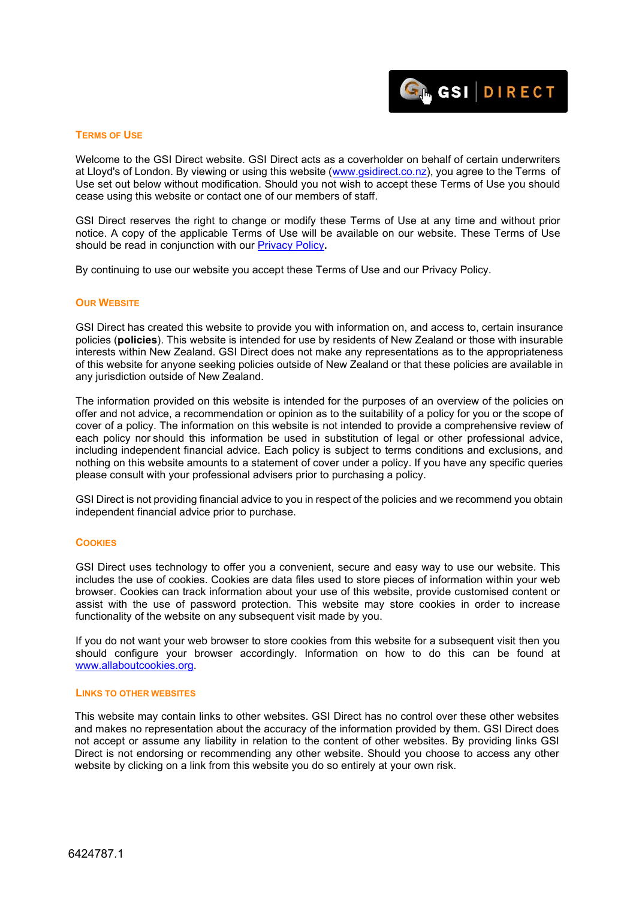

### **TERMS OF USE**

Welcome to the GSI Direct website. GSI Direct acts as a coverholder on behalf of certain underwriters at Lloyd's of London. By viewing or using this website [\(www.gsidirect.co.nz\)](http://www.glennstone.co.nz/), you agree to the Terms of Use set out below without modification. Should you not wish to accept these Terms of Use you should cease using this website or contact one of our members of staff.

GSI Direct reserves the right to change or modify these Terms of Use at any time and without prior notice. A copy of the applicable Terms of Use will be available on our website. These Terms of Use should be read in conjunction with our [Privacy Policy](http://gsidirect.co.nz/wp-content/uploads/2014/10/Privacy-Statement.pdf)**.**

By continuing to use our website you accept these Terms of Use and our Privacy Policy.

# **OUR WEBSITE**

GSI Direct has created this website to provide you with information on, and access to, certain insurance policies (**policies**). This website is intended for use by residents of New Zealand or those with insurable interests within New Zealand. GSI Direct does not make any representations as to the appropriateness of this website for anyone seeking policies outside of New Zealand or that these policies are available in any jurisdiction outside of New Zealand.

The information provided on this website is intended for the purposes of an overview of the policies on offer and not advice, a recommendation or opinion as to the suitability of a policy for you or the scope of cover of a policy. The information on this website is not intended to provide a comprehensive review of each policy nor should this information be used in substitution of legal or other professional advice, including independent financial advice. Each policy is subject to terms conditions and exclusions, and nothing on this website amounts to a statement of cover under a policy. If you have any specific queries please consult with your professional advisers prior to purchasing a policy.

GSI Direct is not providing financial advice to you in respect of the policies and we recommend you obtain independent financial advice prior to purchase.

# **COOKIES**

GSI Direct uses technology to offer you a convenient, secure and easy way to use our website. This includes the use of cookies. Cookies are data files used to store pieces of information within your web browser. Cookies can track information about your use of this website, provide customised content or assist with the use of password protection. This website may store cookies in order to increase functionality of the website on any subsequent visit made by you.

If you do not want your web browser to store cookies from this website for a subsequent visit then you should configure your browser accordingly. Information on how to do this can be found at [www.allaboutcookies.org.](http://www.allaboutcookies.org/)

## **LINKS TO OTHER WEBSITES**

This website may contain links to other websites. GSI Direct has no control over these other websites and makes no representation about the accuracy of the information provided by them. GSI Direct does not accept or assume any liability in relation to the content of other websites. By providing links GSI Direct is not endorsing or recommending any other website. Should you choose to access any other website by clicking on a link from this website you do so entirely at your own risk.